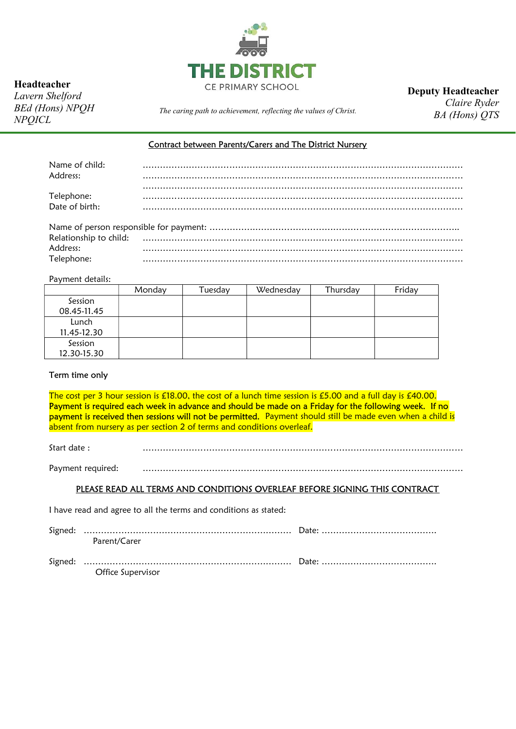

Headteacher

Lavern Shelford BEd (Hons) NPQH NPQICL

Deputy Headteacher

The caring path to achievement, reflecting the values of Christ.

Claire Ryder BA (Hons) QTS

## Contract between Parents/Carers and The District Nursery

| Name of child:               |  |  |  |
|------------------------------|--|--|--|
| Address:                     |  |  |  |
|                              |  |  |  |
| Telephone:<br>Date of birth: |  |  |  |
|                              |  |  |  |
|                              |  |  |  |
|                              |  |  |  |
|                              |  |  |  |
|                              |  |  |  |
| Address:                     |  |  |  |
| Telephone:                   |  |  |  |

Payment details:

|                        | Monday | Tuesday | Wednesday | Thursday | Friday |
|------------------------|--------|---------|-----------|----------|--------|
| Session<br>08.45-11.45 |        |         |           |          |        |
| Lunch<br>11.45-12.30   |        |         |           |          |        |
| Session<br>12.30-15.30 |        |         |           |          |        |

# Term time only

The cost per 3 hour session is £18.00, the cost of a lunch time session is £5.00 and a full day is £40.00. Payment is required each week in advance and should be made on a Friday for the following week. If no payment is received then sessions will not be permitted. Payment should still be made even when a child is absent from nursery as per section 2 of terms and conditions overleaf.

Start date : …………………………………………………………………………………………………

Payment required: …………………………………………………………………………………………………

#### PLEASE READ ALL TERMS AND CONDITIONS OVERLEAF BEFORE SIGNING THIS CONTRACT

I have read and agree to all the terms and conditions as stated:

| Parent/Carer      |  |
|-------------------|--|
| Office Supervisor |  |